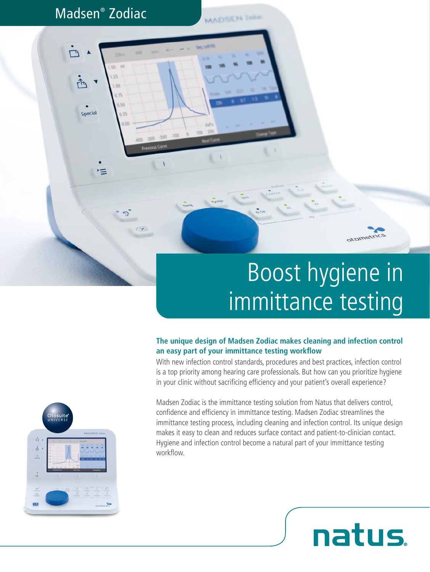### Madsen® Zodiac

Special

**MADSEN THE** 

# Boost hygiene in immittance testing

otometrics

**natus** 

#### **The unique design of Madsen Zodiac makes cleaning and infection control an easy part of your immittance testing workflow**

With new infection control standards, procedures and best practices, infection control is a top priority among hearing care professionals. But how can you prioritize hygiene in your clinic without sacrificing efficiency and your patient's overall experience?

Madsen Zodiac is the immittance testing solution from Natus that delivers control, confidence and efficiency in immittance testing. Madsen Zodiac streamlines the immittance testing process, including cleaning and infection control. Its unique design makes it easy to clean and reduces surface contact and patient-to-clinician contact. Hygiene and infection control become a natural part of your immittance testing workflow.